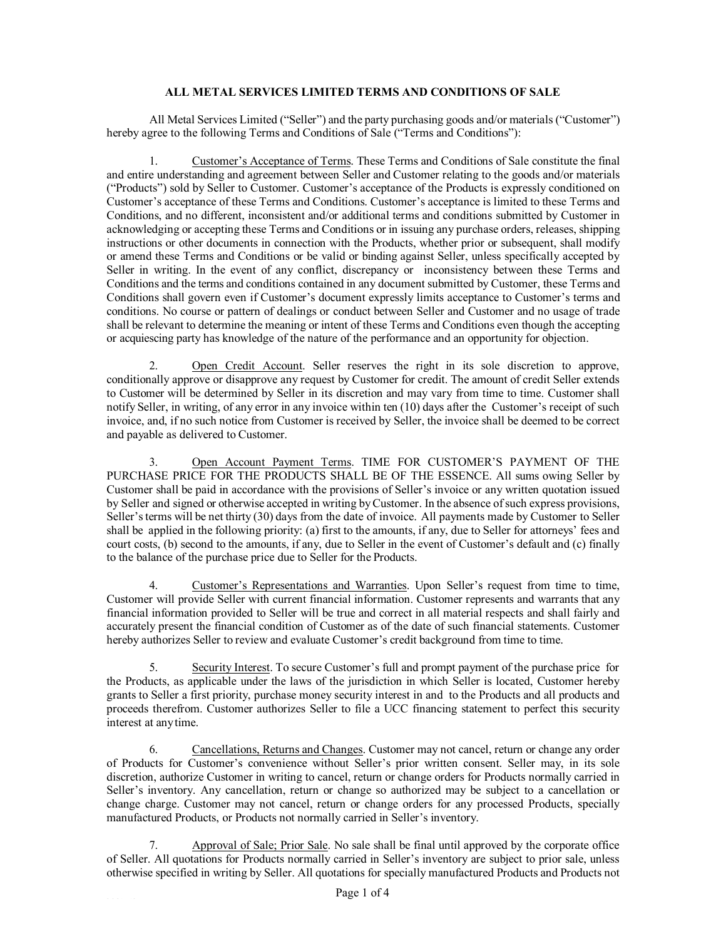## **ALL METAL SERVICES LIMITED TERMS AND CONDITIONS OF SALE**

All Metal Services Limited ("Seller") and the party purchasing goods and/or materials ("Customer") hereby agree to the following Terms and Conditions of Sale ("Terms and Conditions"):

1. Customer's Acceptance of Terms. These Terms and Conditions of Sale constitute the final and entire understanding and agreement between Seller and Customer relating to the goods and/or materials ("Products") sold by Seller to Customer. Customer's acceptance of the Products is expressly conditioned on Customer's acceptance of these Terms and Conditions. Customer's acceptance is limited to these Terms and Conditions, and no different, inconsistent and/or additional terms and conditions submitted by Customer in acknowledging or accepting these Terms and Conditions or in issuing any purchase orders, releases, shipping instructions or other documents in connection with the Products, whether prior or subsequent, shall modify or amend these Terms and Conditions or be valid or binding against Seller, unless specifically accepted by Seller in writing. In the event of any conflict, discrepancy or inconsistency between these Terms and Conditions and the terms and conditions contained in any document submitted by Customer, these Terms and Conditions shall govern even if Customer's document expressly limits acceptance to Customer's terms and conditions. No course or pattern of dealings or conduct between Seller and Customer and no usage of trade shall be relevant to determine the meaning or intent of these Terms and Conditions even though the accepting or acquiescing party has knowledge of the nature of the performance and an opportunity for objection.

2. Open Credit Account. Seller reserves the right in its sole discretion to approve, conditionally approve or disapprove any request by Customer for credit. The amount of credit Seller extends to Customer will be determined by Seller in its discretion and may vary from time to time. Customer shall notify Seller, in writing, of any error in any invoice within ten (10) days after the Customer's receipt of such invoice, and, if no such notice from Customer is received by Seller, the invoice shall be deemed to be correct and payable as delivered to Customer.

3. Open Account Payment Terms. TIME FOR CUSTOMER'S PAYMENT OF THE PURCHASE PRICE FOR THE PRODUCTS SHALL BE OF THE ESSENCE. All sums owing Seller by Customer shall be paid in accordance with the provisions of Seller's invoice or any written quotation issued by Seller and signed or otherwise accepted in writing byCustomer. In the absence ofsuch express provisions, Seller's terms will be net thirty (30) days from the date of invoice. All payments made by Customer to Seller shall be applied in the following priority: (a) first to the amounts, if any, due to Seller for attorneys' fees and court costs, (b) second to the amounts, if any, due to Seller in the event of Customer's default and (c) finally to the balance of the purchase price due to Seller for the Products.

4. Customer's Representations and Warranties. Upon Seller's request from time to time, Customer will provide Seller with current financial information. Customer represents and warrants that any financial information provided to Seller will be true and correct in all material respects and shall fairly and accurately present the financial condition of Customer as of the date of such financial statements. Customer hereby authorizes Seller to review and evaluate Customer's credit background from time to time.

5. Security Interest. To secure Customer's full and prompt payment of the purchase price for the Products, as applicable under the laws of the jurisdiction in which Seller is located, Customer hereby grants to Seller a first priority, purchase money security interest in and to the Products and all products and proceeds therefrom. Customer authorizes Seller to file a UCC financing statement to perfect this security interest at anytime.

6. Cancellations, Returns and Changes. Customer may not cancel, return or change any order of Products for Customer's convenience without Seller's prior written consent. Seller may, in its sole discretion, authorize Customer in writing to cancel, return or change orders for Products normally carried in Seller's inventory. Any cancellation, return or change so authorized may be subject to a cancellation or change charge. Customer may not cancel, return or change orders for any processed Products, specially manufactured Products, or Products not normally carried in Seller's inventory.

7. Approval of Sale; Prior Sale. No sale shall be final until approved by the corporate office of Seller. All quotations for Products normally carried in Seller's inventory are subject to prior sale, unless otherwise specified in writing by Seller. All quotations for specially manufactured Products and Products not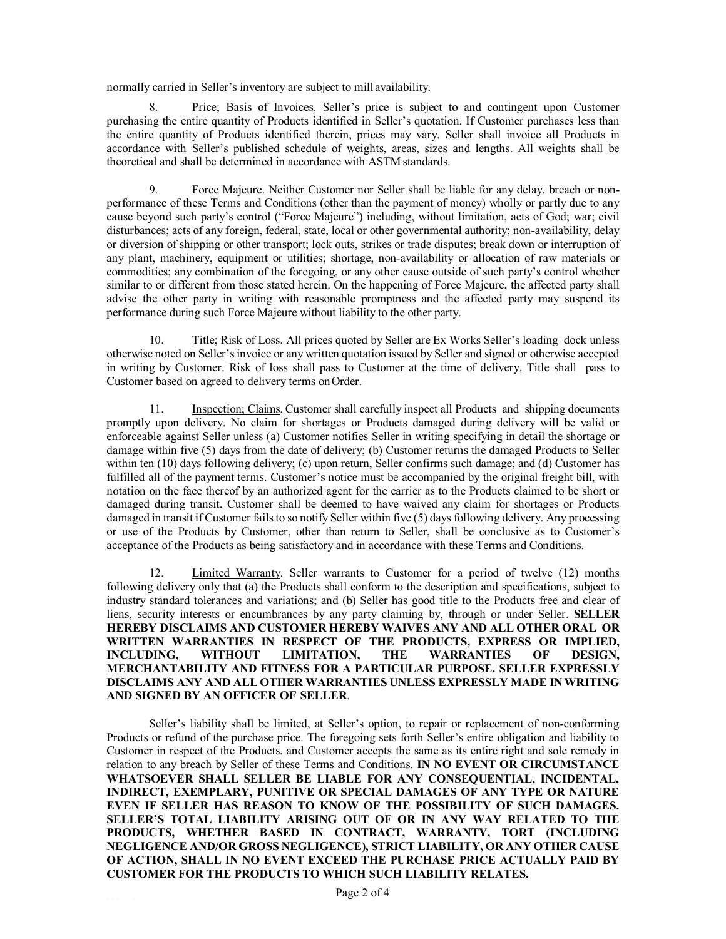normally carried in Seller's inventory are subject to mill availability.

8. Price; Basis of Invoices. Seller's price is subject to and contingent upon Customer purchasing the entire quantity of Products identified in Seller's quotation. If Customer purchases less than the entire quantity of Products identified therein, prices may vary. Seller shall invoice all Products in accordance with Seller's published schedule of weights, areas, sizes and lengths. All weights shall be theoretical and shall be determined in accordance with ASTM standards.

9. Force Majeure. Neither Customer nor Seller shall be liable for any delay, breach or nonperformance of these Terms and Conditions (other than the payment of money) wholly or partly due to any cause beyond such party's control ("Force Majeure") including, without limitation, acts of God; war; civil disturbances; acts of any foreign, federal, state, local or other governmental authority; non-availability, delay or diversion of shipping or other transport; lock outs, strikes or trade disputes; break down or interruption of any plant, machinery, equipment or utilities; shortage, non-availability or allocation of raw materials or commodities; any combination of the foregoing, or any other cause outside of such party's control whether similar to or different from those stated herein. On the happening of Force Majeure, the affected party shall advise the other party in writing with reasonable promptness and the affected party may suspend its performance during such Force Majeure without liability to the other party.

10. Title; Risk of Loss. All prices quoted by Seller are Ex Works Seller's loading dock unless otherwise noted on Seller's invoice or any written quotation issued by Seller and signed or otherwise accepted in writing by Customer. Risk of loss shall pass to Customer at the time of delivery. Title shall pass to Customer based on agreed to delivery terms onOrder.

11. Inspection; Claims. Customer shall carefully inspect all Products and shipping documents promptly upon delivery. No claim for shortages or Products damaged during delivery will be valid or enforceable against Seller unless (a) Customer notifies Seller in writing specifying in detail the shortage or damage within five (5) days from the date of delivery; (b) Customer returns the damaged Products to Seller within ten (10) days following delivery; (c) upon return, Seller confirms such damage; and (d) Customer has fulfilled all of the payment terms. Customer's notice must be accompanied by the original freight bill, with notation on the face thereof by an authorized agent for the carrier as to the Products claimed to be short or damaged during transit. Customer shall be deemed to have waived any claim for shortages or Products damaged in transit if Customer fails to so notify Seller within five (5) days following delivery. Any processing or use of the Products by Customer, other than return to Seller, shall be conclusive as to Customer's acceptance of the Products as being satisfactory and in accordance with these Terms and Conditions.

Limited Warranty. Seller warrants to Customer for a period of twelve (12) months following delivery only that (a) the Products shall conform to the description and specifications, subject to industry standard tolerances and variations; and (b) Seller has good title to the Products free and clear of liens, security interests or encumbrances by any party claiming by, through or under Seller. **SELLER HEREBY DISCLAIMS AND CUSTOMER HEREBY WAIVES ANY AND ALL OTHER ORAL OR WRITTEN WARRANTIES IN RESPECT OF THE PRODUCTS, EXPRESS OR IMPLIED, INCLUDING, WITHOUT LIMITATION, THE WARRANTIES OF DESIGN, MERCHANTABILITY AND FITNESS FOR A PARTICULAR PURPOSE. SELLER EXPRESSLY DISCLAIMS ANY AND ALL OTHER WARRANTIES UNLESS EXPRESSLY MADE IN WRITING AND SIGNED BY AN OFFICER OF SELLER**.

Seller's liability shall be limited, at Seller's option, to repair or replacement of non-conforming Products or refund of the purchase price. The foregoing sets forth Seller's entire obligation and liability to Customer in respect of the Products, and Customer accepts the same as its entire right and sole remedy in relation to any breach by Seller of these Terms and Conditions. **IN NO EVENT OR CIRCUMSTANCE WHATSOEVER SHALL SELLER BE LIABLE FOR ANY CONSEQUENTIAL, INCIDENTAL, INDIRECT, EXEMPLARY, PUNITIVE OR SPECIAL DAMAGES OF ANY TYPE OR NATURE EVEN IF SELLER HAS REASON TO KNOW OF THE POSSIBILITY OF SUCH DAMAGES. SELLER'S TOTAL LIABILITY ARISING OUT OF OR IN ANY WAY RELATED TO THE PRODUCTS, WHETHER BASED IN CONTRACT, WARRANTY, TORT (INCLUDING NEGLIGENCE AND/OR GROSS NEGLIGENCE), STRICT LIABILITY, OR ANY OTHER CAUSE OF ACTION, SHALL IN NO EVENT EXCEED THE PURCHASE PRICE ACTUALLY PAID BY CUSTOMER FOR THE PRODUCTS TO WHICH SUCH LIABILITY RELATES.**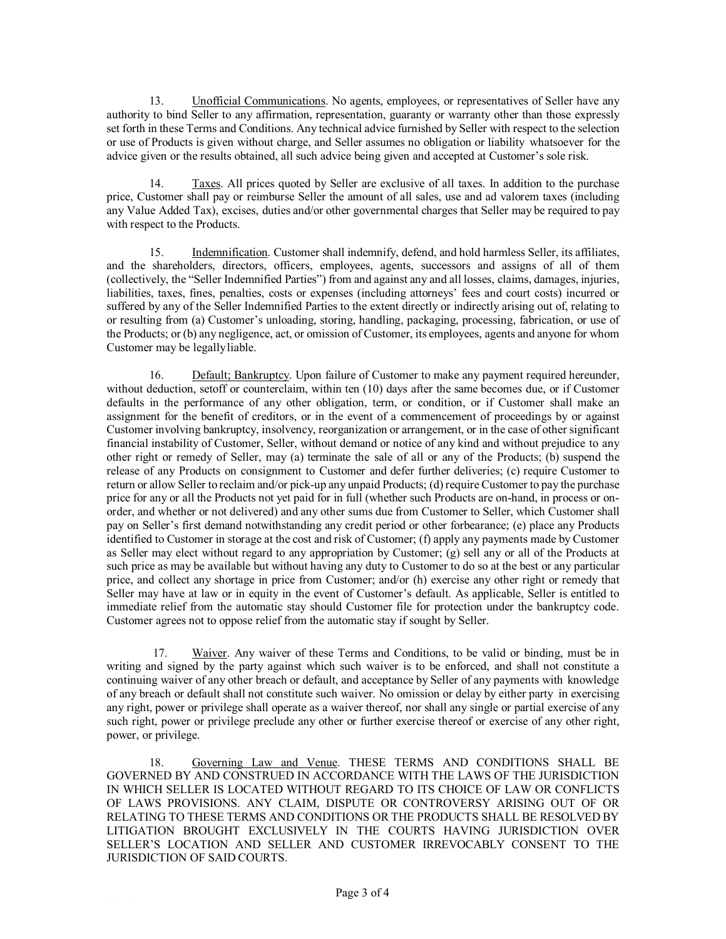13. Unofficial Communications. No agents, employees, or representatives of Seller have any authority to bind Seller to any affirmation, representation, guaranty or warranty other than those expressly set forth in these Terms and Conditions. Any technical advice furnished by Seller with respect to the selection or use of Products is given without charge, and Seller assumes no obligation or liability whatsoever for the advice given or the results obtained, all such advice being given and accepted at Customer's sole risk.

14. Taxes. All prices quoted by Seller are exclusive of all taxes. In addition to the purchase price, Customer shall pay or reimburse Seller the amount of all sales, use and ad valorem taxes (including any Value Added Tax), excises, duties and/or other governmental charges that Seller may be required to pay with respect to the Products.

15. Indemnification. Customer shall indemnify, defend, and hold harmless Seller, its affiliates, and the shareholders, directors, officers, employees, agents, successors and assigns of all of them (collectively, the "Seller Indemnified Parties") from and against any and all losses, claims, damages, injuries, liabilities, taxes, fines, penalties, costs or expenses (including attorneys' fees and court costs) incurred or suffered by any of the Seller Indemnified Parties to the extent directly or indirectly arising out of, relating to or resulting from (a) Customer's unloading, storing, handling, packaging, processing, fabrication, or use of the Products; or (b) any negligence, act, or omission of Customer, its employees, agents and anyone for whom Customer may be legallyliable.

16. Default; Bankruptcy. Upon failure of Customer to make any payment required hereunder, without deduction, setoff or counterclaim, within ten (10) days after the same becomes due, or if Customer defaults in the performance of any other obligation, term, or condition, or if Customer shall make an assignment for the benefit of creditors, or in the event of a commencement of proceedings by or against Customer involving bankruptcy, insolvency, reorganization or arrangement, or in the case of other significant financial instability of Customer, Seller, without demand or notice of any kind and without prejudice to any other right or remedy of Seller, may (a) terminate the sale of all or any of the Products; (b) suspend the release of any Products on consignment to Customer and defer further deliveries; (c) require Customer to return or allow Seller to reclaim and/or pick-up any unpaid Products; (d) require Customer to pay the purchase price for any or all the Products not yet paid for in full (whether such Products are on-hand, in process or onorder, and whether or not delivered) and any other sums due from Customer to Seller, which Customer shall pay on Seller's first demand notwithstanding any credit period or other forbearance; (e) place any Products identified to Customer in storage at the cost and risk of Customer; (f) apply any payments made by Customer as Seller may elect without regard to any appropriation by Customer; (g) sell any or all of the Products at such price as may be available but without having any duty to Customer to do so at the best or any particular price, and collect any shortage in price from Customer; and/or (h) exercise any other right or remedy that Seller may have at law or in equity in the event of Customer's default. As applicable, Seller is entitled to immediate relief from the automatic stay should Customer file for protection under the bankruptcy code. Customer agrees not to oppose relief from the automatic stay if sought by Seller.

17. Waiver. Any waiver of these Terms and Conditions, to be valid or binding, must be in writing and signed by the party against which such waiver is to be enforced, and shall not constitute a continuing waiver of any other breach or default, and acceptance by Seller of any payments with knowledge of any breach or default shall not constitute such waiver. No omission or delay by either party in exercising any right, power or privilege shall operate as a waiver thereof, nor shall any single or partial exercise of any such right, power or privilege preclude any other or further exercise thereof or exercise of any other right, power, or privilege.

18. Governing Law and Venue. THESE TERMS AND CONDITIONS SHALL BE GOVERNED BY AND CONSTRUED IN ACCORDANCE WITH THE LAWS OF THE JURISDICTION IN WHICH SELLER IS LOCATED WITHOUT REGARD TO ITS CHOICE OF LAW OR CONFLICTS OF LAWS PROVISIONS. ANY CLAIM, DISPUTE OR CONTROVERSY ARISING OUT OF OR RELATING TO THESE TERMS AND CONDITIONS OR THE PRODUCTS SHALL BE RESOLVED BY LITIGATION BROUGHT EXCLUSIVELY IN THE COURTS HAVING JURISDICTION OVER SELLER'S LOCATION AND SELLER AND CUSTOMER IRREVOCABLY CONSENT TO THE JURISDICTION OF SAID COURTS.